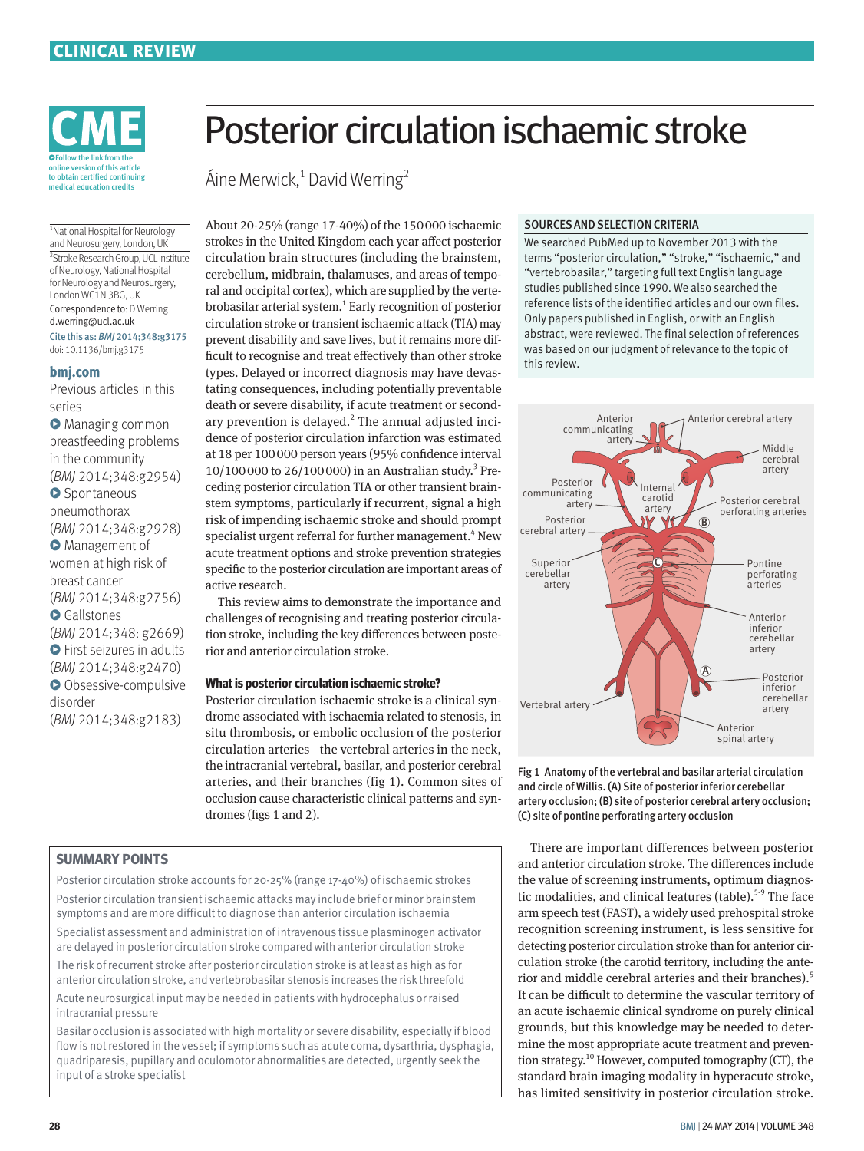

<sup>1</sup> National Hospital for Neurology and Neurosurgery, London, UK <sup>2</sup>Stroke Research Group, UCL Institute of Neurology, National Hospital for Neurology and Neurosurgery, London WC1N 3BG, UK Correspondence to: D Werring d.werring@ucl.ac.uk Cite this as: *BMJ* 2014;348:g3175 doi: 10.1136/bmj.g3175

## **bmj.com**

Previous articles in this series  $\bullet$  Managing common breastfeeding problems in the community (*BMJ* 2014;348:g2954) **O** Spontaneous pneumothorax (*BMJ* 2014;348:g2928)  $\bullet$  Management of women at high risk of breast cancer (*BMJ* 2014;348:g2756) **Gallstones** (*BMJ* 2014;348: g2669) **O** First seizures in adults (*BMJ* 2014;348:g2470) **O** Obsessive-compulsive disorder (*BMJ* 2014;348:g2183)

# Posterior circulation ischaemic stroke

Áine Merwick, $^1$  David Werring $^2$ 

About 20-25% (range 17-40%) of the 150000 ischaemic strokes in the United Kingdom each year affect posterior circulation brain structures (including the brainstem, cerebellum, midbrain, thalamuses, and areas of temporal and occipital cortex), which are supplied by the vertebrobasilar arterial system.<sup>1</sup> Early recognition of posterior circulation stroke or transient ischaemic attack (TIA) may prevent disability and save lives, but it remains more difficult to recognise and treat effectively than other stroke types. Delayed or incorrect diagnosis may have devastating consequences, including potentially preventable death or severe disability, if acute treatment or secondary prevention is delayed. $<sup>2</sup>$  The annual adjusted inci-</sup> dence of posterior circulation infarction was estimated at 18 per 100000 person years (95% confidence interval 10/100000 to 26/100000) in an Australian study.<sup>3</sup> Preceding posterior circulation TIA or other transient brain‑ stem symptoms, particularly if recurrent, signal a high risk of impending ischaemic stroke and should prompt specialist urgent referral for further management.<sup>4</sup> New acute treatment options and stroke prevention strategies specific to the posterior circulation are important areas of active research.

This review aims to demonstrate the importance and challenges of recognising and treating posterior circulation stroke, including the key differences between posterior and anterior circulation stroke.

## **What is posterior circulation ischaemic stroke?**

Posterior circulation ischaemic stroke is a clinical syndrome associated with ischaemia related to stenosis, in situ thrombosis, or embolic occlusion of the posterior circulation arteries—the vertebral arteries in the neck, the intracranial vertebral, basilar, and posterior cerebral arteries, and their branches (fig 1). Common sites of occlusion cause characteristic clinical patterns and syndromes (figs 1 and 2).

# **SUMMARY POINTS**

Posterior circulation stroke accounts for 20-25% (range 17-40%) of ischaemic strokes Posterior circulation transient ischaemic attacks may include brief or minor brainstem symptoms and are more difficult to diagnose than anterior circulation ischaemia

Specialist assessment and administration of intravenous tissue plasminogen activator are delayed in posterior circulation stroke compared with anterior circulation stroke

The risk of recurrent stroke after posterior circulation stroke is at least as high as for anterior circulation stroke, and vertebrobasilar stenosis increases the risk threefold

Acute neurosurgical input may be needed in patients with hydrocephalus or raised intracranial pressure

Basilar occlusion is associated with high mortality or severe disability, especially if blood flow is not restored in the vessel; if symptoms such as acute coma, dysarthria, dysphagia, quadriparesis, pupillary and oculomotor abnormalities are detected, urgently seek the input of a stroke specialist

# SOURCES AND SELECTION CRITERIA

We searched PubMed up to November 2013 with the terms "posterior circulation," "stroke," "ischaemic," and "vertebrobasilar," targeting full text English language studies published since 1990. We also searched the reference lists of the identified articles and our own files. Only papers published in English, or with an English abstract, were reviewed. The final selection of references was based on our judgment of relevance to the topic of this review.



Fig 1|Anatomy of the vertebral and basilar arterial circulation and circle of Willis. (A) Site of posterior inferior cerebellar artery occlusion; (B) site of posterior cerebral artery occlusion; (C) site of pontine perforating artery occlusion

There are important differences between posterior and anterior circulation stroke. The differences include the value of screening instruments, optimum diagnostic modalities, and clinical features (table).<sup>5-9</sup> The face arm speech test (FAST), a widely used prehospital stroke recognition screening instrument, is less sensitive for detecting posterior circulation stroke than for anterior circulation stroke (the carotid territory, including the anterior and middle cerebral arteries and their branches).<sup>5</sup> It can be difficult to determine the vascular territory of an acute ischaemic clinical syndrome on purely clinical grounds, but this knowledge may be needed to determine the most appropriate acute treatment and prevention strategy.<sup>10</sup> However, computed tomography (CT), the standard brain imaging modality in hyperacute stroke, has limited sensitivity in posterior circulation stroke.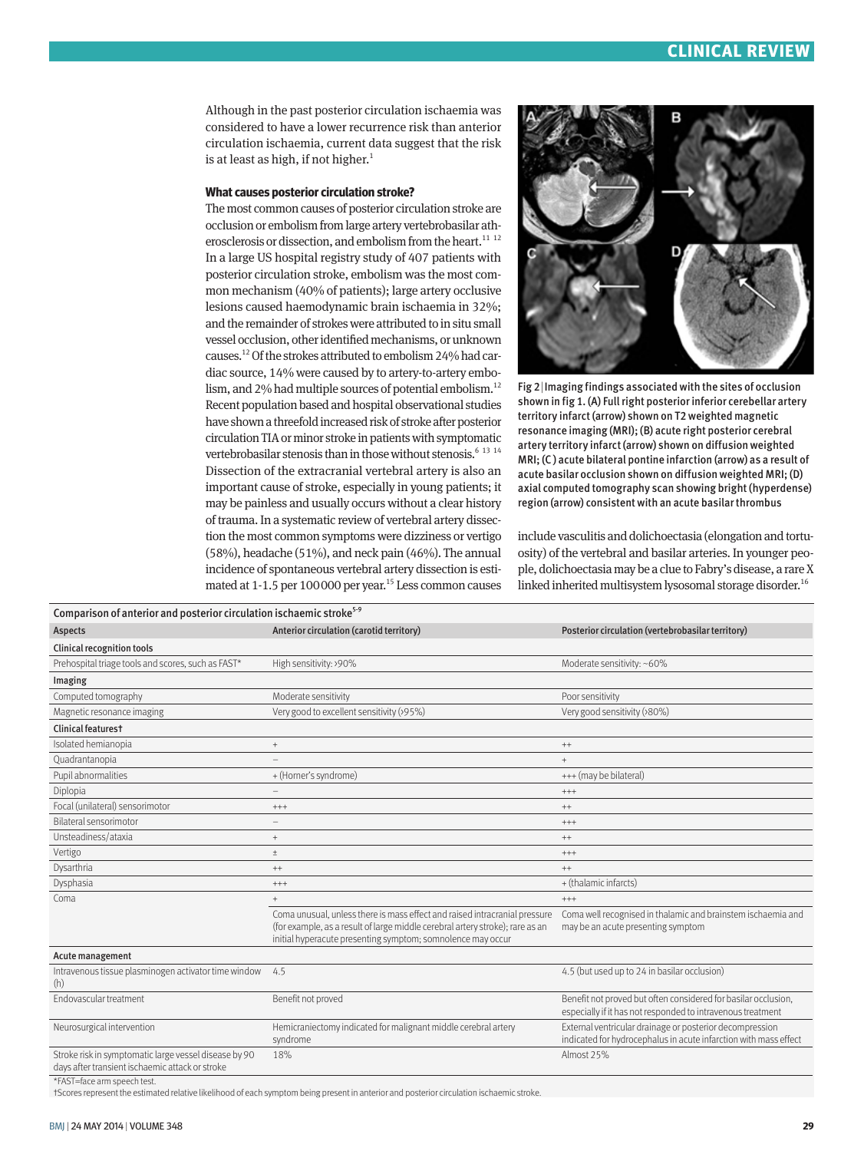Although in the past posterior circulation ischaemia was considered to have a lower recurrence risk than anterior circulation ischaemia, current data suggest that the risk is at least as high, if not higher.<sup>1</sup>

#### **What causes posterior circulation stroke?**

The most common causes of posterior circulation stroke are occlusion or embolism from large artery vertebrobasilar atherosclerosis or dissection, and embolism from the heart.<sup>11 12</sup> In a large US hospital registry study of 407 patients with posterior circulation stroke, embolism was the most common mechanism (40% of patients); large artery occlusive lesions caused haemodynamic brain ischaemia in 32%; and the remainder of strokes were attributed to in situ small vessel occlusion, other identified mechanisms, or unknown causes.<sup>12</sup> Of the strokes attributed to embolism 24% had cardiac source, 14% were caused by to artery-to-artery embolism, and 2% had multiple sources of potential embolism.<sup>12</sup> Recent population based and hospital observational studies have shown a threefold increased risk of stroke after posterior circulation TIA or minor stroke in patients with symptomatic vertebrobasilar stenosis than in those without stenosis.<sup>6 13 14</sup> Dissection of the extracranial vertebral artery is also an important cause of stroke, especially in young patients; it may be painless and usually occurs without a clear history of trauma. In a systematic review of vertebral artery dissection the most common symptoms were dizziness or vertigo (58%), headache (51%), and neck pain (46%). The annual incidence of spontaneous vertebral artery dissection is estimated at 1-1.5 per 100000 per year.<sup>15</sup> Less common causes



Fig 2|Imaging findings associated with the sites of occlusion shown in fig 1. (A) Full right posterior inferior cerebellar artery territory infarct (arrow) shown on T2 weighted magnetic resonance imaging (MRI); (B) acute right posterior cerebral artery territory infarct (arrow) shown on diffusion weighted MRI; (C ) acute bilateral pontine infarction (arrow) as a result of acute basilar occlusion shown on diffusion weighted MRI; (D) axial computed tomography scan showing bright (hyperdense) region (arrow) consistent with an acute basilar thrombus

include vasculitis and dolichoectasia (elongation and tortuosity) of the vertebral and basilar arteries. In younger people, dolichoectasia may be a clue to Fabry's disease, a rare X linked inherited multisystem lysosomal storage disorder.<sup>16</sup>

| Comparison of anterior and posterior circulation is chaemic stroke <sup>5-9</sup>                        |                                                                                                                                                                                                                            |                                                                                                                               |
|----------------------------------------------------------------------------------------------------------|----------------------------------------------------------------------------------------------------------------------------------------------------------------------------------------------------------------------------|-------------------------------------------------------------------------------------------------------------------------------|
| <b>Aspects</b>                                                                                           | Anterior circulation (carotid territory)                                                                                                                                                                                   | Posterior circulation (vertebrobasilar territory)                                                                             |
| <b>Clinical recognition tools</b>                                                                        |                                                                                                                                                                                                                            |                                                                                                                               |
| Prehospital triage tools and scores, such as FAST*                                                       | High sensitivity: >90%                                                                                                                                                                                                     | Moderate sensitivity: ~60%                                                                                                    |
| Imaging                                                                                                  |                                                                                                                                                                                                                            |                                                                                                                               |
| Computed tomography                                                                                      | Moderate sensitivity                                                                                                                                                                                                       | Poor sensitivity                                                                                                              |
| Magnetic resonance imaging                                                                               | Very good to excellent sensitivity (>95%)                                                                                                                                                                                  | Very good sensitivity (>80%)                                                                                                  |
| Clinical featurest                                                                                       |                                                                                                                                                                                                                            |                                                                                                                               |
| Isolated hemianopia                                                                                      | $\begin{array}{c} + \end{array}$                                                                                                                                                                                           | $^{++}$                                                                                                                       |
| Quadrantanopia                                                                                           |                                                                                                                                                                                                                            | $\begin{array}{c} + \end{array}$                                                                                              |
| Pupil abnormalities                                                                                      | + (Horner's syndrome)                                                                                                                                                                                                      | +++ (may be bilateral)                                                                                                        |
| Diplopia                                                                                                 |                                                                                                                                                                                                                            | $^{+++}$                                                                                                                      |
| Focal (unilateral) sensorimotor                                                                          | $^{+++}$                                                                                                                                                                                                                   | $^{++}$                                                                                                                       |
| Bilateral sensorimotor                                                                                   |                                                                                                                                                                                                                            | $^{+++}$                                                                                                                      |
| Unsteadiness/ataxia                                                                                      | $\! + \!\!\!\!$                                                                                                                                                                                                            | $^{++}$                                                                                                                       |
| Vertigo                                                                                                  | $\pm$                                                                                                                                                                                                                      | $^{+++}$                                                                                                                      |
| Dysarthria                                                                                               | $+ +$                                                                                                                                                                                                                      | $+ +$                                                                                                                         |
| Dysphasia                                                                                                | $^{+++}$                                                                                                                                                                                                                   | + (thalamic infarcts)                                                                                                         |
| Coma                                                                                                     | $\begin{array}{c} + \end{array}$                                                                                                                                                                                           | $^{+++}$                                                                                                                      |
|                                                                                                          | Coma unusual, unless there is mass effect and raised intracranial pressure<br>(for example, as a result of large middle cerebral artery stroke); rare as an<br>initial hyperacute presenting symptom; somnolence may occur | Coma well recognised in thalamic and brainstem ischaemia and<br>may be an acute presenting symptom                            |
| Acute management                                                                                         |                                                                                                                                                                                                                            |                                                                                                                               |
| Intravenous tissue plasminogen activator time window<br>(h)                                              | 4.5                                                                                                                                                                                                                        | 4.5 (but used up to 24 in basilar occlusion)                                                                                  |
| Endovascular treatment                                                                                   | Benefit not proved                                                                                                                                                                                                         | Benefit not proved but often considered for basilar occlusion,<br>especially if it has not responded to intravenous treatment |
| Neurosurgical intervention                                                                               | Hemicraniectomy indicated for malignant middle cerebral artery<br>syndrome                                                                                                                                                 | External ventricular drainage or posterior decompression<br>indicated for hydrocephalus in acute infarction with mass effect  |
| Stroke risk in symptomatic large vessel disease by 90<br>days after transient ischaemic attack or stroke | 18%                                                                                                                                                                                                                        | Almost 25%                                                                                                                    |

\*FAST=face arm speech test.

†Scores represent the estimated relative likelihood of each symptom being present in anterior and posterior circulation ischaemic stroke.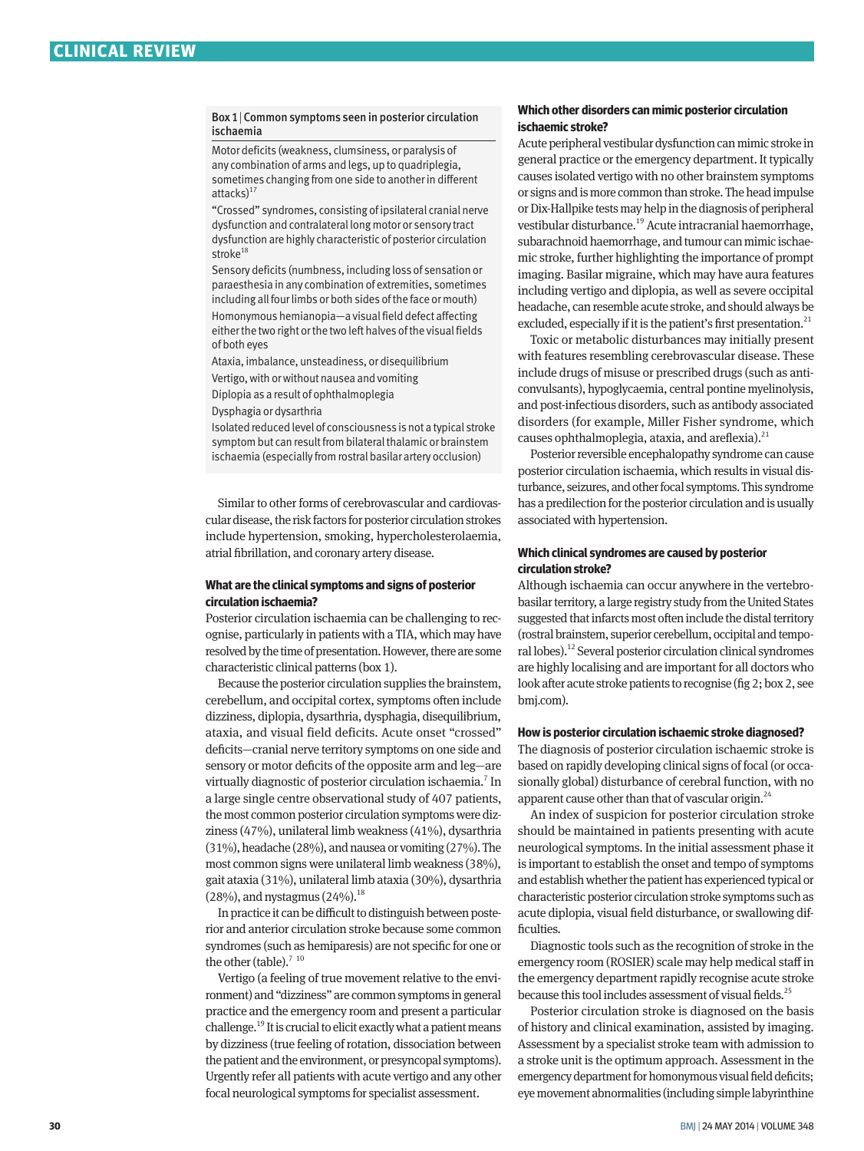#### Box 1 |Common symptoms seen in posterior circulation ischaemia

Motor deficits (weakness, clumsiness, or paralysis of any combination of arms and legs, up to quadriplegia, sometimes changing from one side to another in different attacks $)^{1}$ 

"Crossed" syndromes, consisting of ipsilateral cranial nerve dysfunction and contralateral long motor or sensory tract dysfunction are highly characteristic of posterior circulation stroke<sup>18</sup>

Sensory deficits (numbness, including loss of sensation or paraesthesia in any combination of extremities, sometimes including all four limbs or both sides of the face or mouth) Homonymous hemianopia—a visual field defect affecting

either the two right or the two left halves of the visual fields of both eyes

Ataxia, imbalance, unsteadiness, or disequilibrium

Vertigo, with or without nausea and vomiting

Diplopia as a result of ophthalmoplegia

Dysphagia or dysarthria

Isolated reduced level of consciousness is not a typical stroke symptom but can result from bilateral thalamic or brainstem ischaemia (especially from rostral basilar artery occlusion)

Similar to other forms of cerebrovascular and cardiovas ‑ cular disease, the risk factors for posterior circulation strokes include hypertension, smoking, hypercholesterolaemia, atrial fibrillation, and coronary artery disease.

## **What are the clinical symptoms and signs of posterior circulation ischaemia?**

Posterior circulation ischaemia can be challenging to recognise, particularly in patients with a TIA, which may have resolved by the time of presentation. However, there are some characteristic clinical patterns (box 1).

Because the posterior circulation supplies the brainstem, cerebellum, and occipital cortex, symptoms often include dizziness, diplopia, dysarthria, dysphagia, disequilibrium, ataxia, and visual field deficits. Acute onset "crossed" deficits—cranial nerve territory symptoms on one side and sensory or motor deficits of the opposite arm and leg—are virtually diagnostic of posterior circulation ischaemia.<sup>7</sup> In a large single centre observational study of 407 patients, the most common posterior circulation symptoms were diz ‑ ziness (47%), unilateral limb weakness (41%), dysarthria (31%), headache (28%), and nausea or vomiting (27%). The most common signs were unilateral limb weakness (38%), gait ataxia (31%), unilateral limb ataxia (30%), dysarthria  $(28%)$ , and nystagmus  $(24%)$ .<sup>18</sup>

In practice it can be difficult to distinguish between poste ‑ rior and anterior circulation stroke because some common syndromes (such as hemiparesis) are not specific for one or the other (table).<sup>7</sup> <sup>10</sup>

Vertigo (a feeling of true movement relative to the envi ‑ ronment) and "dizziness" are common symptoms in general practice and the emergency room and present a particular challenge.19 It is crucial to elicit exactly what a patient means by dizziness (true feeling of rotation, dissociation between the patient and the environment, or presyncopal symptoms). Urgently refer all patients with acute vertigo and any other focal neurological symptoms for specialist assessment.

## **Which other disorders can mimic posterior circulation ischaemic stroke?**

Acute peripheral vestibular dysfunction can mimic stroke in general practice or the emergency department. It typically causes isolated vertigo with no other brainstem symptoms or signs and is more common than stroke. The head impulse or Dix-Hallpike tests may help in the diagnosis of peripheral vestibular disturbance.<sup>19</sup> Acute intracranial haemorrhage, subarachnoid haemorrhage, and tumour can mimic ischae ‑ mic stroke, further highlighting the importance of prompt imaging. Basilar migraine, which may have aura features including vertigo and diplopia, as well as severe occipital headache, can resemble acute stroke, and should always be excluded, especially if it is the patient's first presentation.<sup>21</sup>

Toxic or metabolic disturbances may initially present with features resembling cerebrovascular disease. These include drugs of misuse or prescribed drugs (such as anti ‑ convulsants), hypoglycaemia, central pontine myelinolysis, and post -infectious disorders, such as antibody associated disorders (for example, Miller Fisher syndrome, which causes ophthalmoplegia, ataxia, and areflexia). $^{21}$ 

Posterior reversible encephalopathy syndrome can cause posterior circulation ischaemia, which results in visual dis ‑ turbance, seizures, and other focal symptoms. This syndrome has a predilection for the posterior circulation and is usually associated with hypertension.

# **Which clinical syndromes are caused by posterior circulation stroke?**

Although ischaemia can occur anywhere in the vertebro ‑ basilar territory, a large registry study from the United States suggested that infarcts most often include the distal territory (rostral brainstem, superior cerebellum, occipital and tempo ‑ ral lobes).12 Several posterior circulation clinical syndromes are highly localising and are important for all doctors who look after acute stroke patients to recognise (fig 2; box 2, see bmj.com).

## **How is posterior circulation ischaemic stroke diagnosed?**

The diagnosis of posterior circulation ischaemic stroke is based on rapidly developing clinical signs of focal (or occa ‑ sionally global) disturbance of cerebral function, with no apparent cause other than that of vascular origin. $24$ 

An index of suspicion for posterior circulation stroke should be maintained in patients presenting with acute neurological symptoms. In the initial assessment phase it is important to establish the onset and tempo of symptoms and establish whether the patient has experienced typical or characteristic posterior circulation stroke symptoms such as acute diplopia, visual field disturbance, or swallowing difficulties.

Diagnostic tools such as the recognition of stroke in the emergency room (ROSIER) scale may help medical staff in the emergency department rapidly recognise acute stroke because this tool includes assessment of visual fields.<sup>25</sup>

Posterior circulation stroke is diagnosed on the basis of history and clinical examination, assisted by imaging. Assessment by a specialist stroke team with admission to a stroke unit is the optimum approach. Assessment in the emergency department for homonymous visual field deficits; eye movement abnormalities (including simple labyrinthine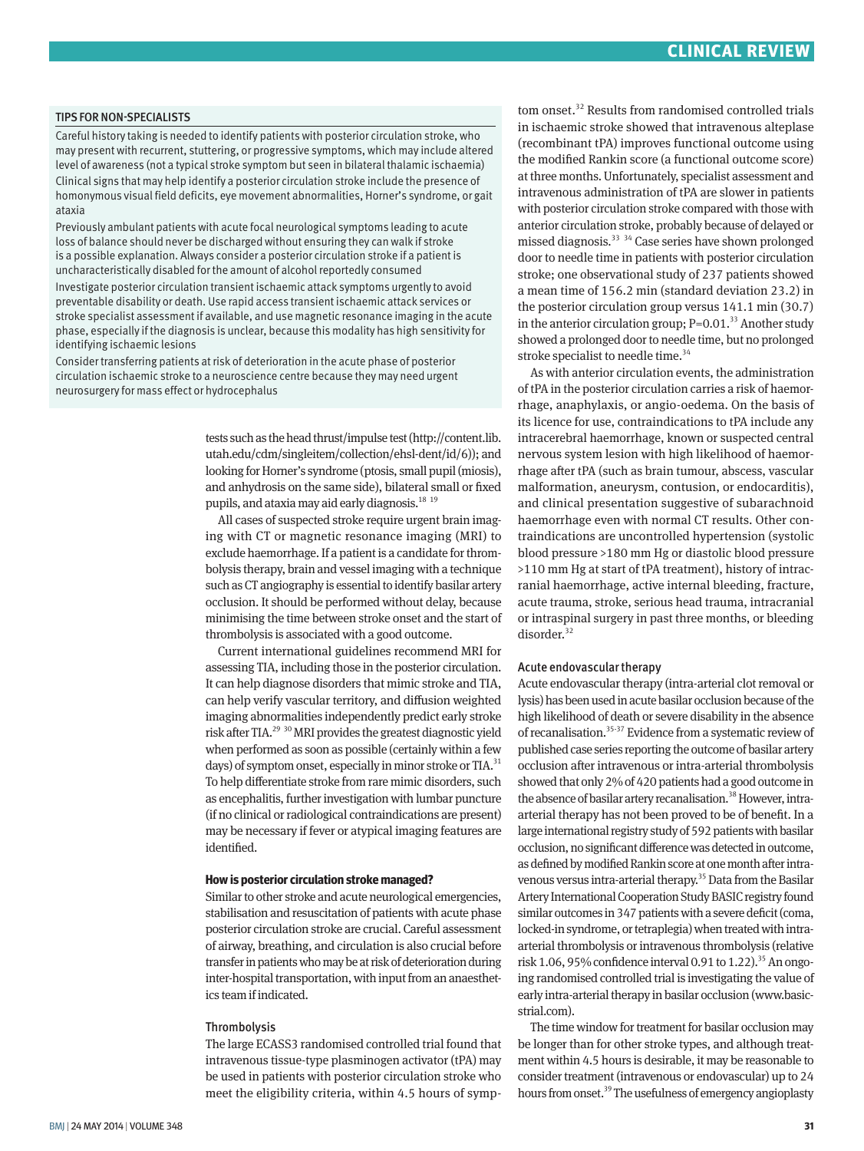#### TIPS FOR NON-SPECIALISTS

Careful history taking is needed to identify patients with posterior circulation stroke, who may present with recurrent, stuttering, or progressive symptoms, which may include altered level of awareness (not a typical stroke symptom but seen in bilateral thalamic ischaemia)

Clinical signs that may help identify a posterior circulation stroke include the presence of homonymous visual field deficits, eye movement abnormalities, Horner's syndrome, or gait ataxia

Previously ambulant patients with acute focal neurological symptoms leading to acute loss of balance should never be discharged without ensuring they can walk if stroke is a possible explanation. Always consider a posterior circulation stroke if a patient is uncharacteristically disabled for the amount of alcohol reportedly consumed Investigate posterior circulation transient ischaemic attack symptoms urgently to avoid preventable disability or death. Use rapid access transient ischaemic attack services or stroke specialist assessment if available, and use magnetic resonance imaging in the acute phase, especially if the diagnosis is unclear, because this modality has high sensitivity for identifying ischaemic lesions

Consider transferring patients at risk of deterioration in the acute phase of posterior circulation ischaemic stroke to a neuroscience centre because they may need urgent neurosurgery for mass effect or hydrocephalus

> tests such as the head thrust/impulse test (http://content.lib. utah.edu/cdm/singleitem/collection/ehsl-dent/id/6)); and looking for Horner's syndrome (ptosis, small pupil (miosis), and anhydrosis on the same side), bilateral small or fixed pupils, and ataxia may aid early diagnosis.<sup>18</sup> <sup>19</sup>

> All cases of suspected stroke require urgent brain imaging with CT or magnetic resonance imaging (MRI) to exclude haemorrhage. If a patient is a candidate for thrombolysis therapy, brain and vessel imaging with a technique such as CT angiography is essential to identify basilar artery occlusion. It should be performed without delay, because minimising the time between stroke onset and the start of thrombolysis is associated with a good outcome.

> Current international guidelines recommend MRI for assessing TIA, including those in the posterior circulation. It can help diagnose disorders that mimic stroke and TIA, can help verify vascular territory, and diffusion weighted imaging abnormalities independently predict early stroke risk after TIA.29 30 MRI provides the greatest diagnostic yield when performed as soon as possible (certainly within a few days) of symptom onset, especially in minor stroke or TIA.<sup>31</sup> To help differentiate stroke from rare mimic disorders, such as encephalitis, further investigation with lumbar puncture (if no clinical or radiological contraindications are present) may be necessary if fever or atypical imaging features are identified.

#### **How is posterior circulation stroke managed?**

Similar to other stroke and acute neurological emergencies, stabilisation and resuscitation of patients with acute phase posterior circulation stroke are crucial. Careful assessment of airway, breathing, and circulation is also crucial before transfer in patients who may be at risk of deterioration during inter-hospital transportation, with input from an anaesthetics team if indicated.

#### Thrombolysis

The large ECASS3 randomised controlled trial found that intravenous tissue-type plasminogen activator (tPA) may be used in patients with posterior circulation stroke who meet the eligibility criteria, within 4.5 hours of symptom onset.<sup>32</sup> Results from randomised controlled trials in ischaemic stroke showed that intravenous alteplase (recombinant tPA) improves functional outcome using the modified Rankin score (a functional outcome score) at three months. Unfortunately, specialist assessment and intravenous administration of tPA are slower in patients with posterior circulation stroke compared with those with anterior circulation stroke, probably because of delayed or missed diagnosis.<sup>33</sup> <sup>34</sup> Case series have shown prolonged door to needle time in patients with posterior circulation stroke; one observational study of 237 patients showed a mean time of 156.2 min (standard deviation 23.2) in the posterior circulation group versus 141.1 min (30.7) in the anterior circulation group;  $P=0.01$ .<sup>33</sup> Another study showed a prolonged door to needle time, but no prolonged stroke specialist to needle time.<sup>34</sup>

As with anterior circulation events, the administration of tPA in the posterior circulation carries a risk of haemorrhage, anaphylaxis, or angio-oedema. On the basis of its licence for use, contraindications to tPA include any intracerebral haemorrhage, known or suspected central nervous system lesion with high likelihood of haemorrhage after tPA (such as brain tumour, abscess, vascular malformation, aneurysm, contusion, or endocarditis), and clinical presentation suggestive of subarachnoid haemorrhage even with normal CT results. Other contraindications are uncontrolled hypertension (systolic blood pressure >180 mm Hg or diastolic blood pressure >110 mm Hg at start of tPA treatment), history of intrac‑ ranial haemorrhage, active internal bleeding, fracture, acute trauma, stroke, serious head trauma, intracranial or intraspinal surgery in past three months, or bleeding disorder. $32$ 

#### Acute endovascular therapy

Acute endovascular therapy (intra-arterial clot removal or lysis) has been used in acute basilar occlusion because of the high likelihood of death or severe disability in the absence of recanalisation.35‑37 Evidence from a systematic review of published case series reporting the outcome of basilar artery occlusion after intravenous or intra-arterial thrombolysis showed that only 2% of 420 patients had a good outcome in the absence of basilar artery recanalisation.<sup>38</sup> However, intraarterial therapy has not been proved to be of benefit. In a large international registry study of 592 patients with basilar occlusion, no significant difference was detected in outcome, as defined by modified Rankin score at one month after intravenous versus intra-arterial therapy.<sup>35</sup> Data from the Basilar Artery International Cooperation Study BASIC registry found similar outcomes in 347 patients with a severe deficit (coma, locked-in syndrome, or tetraplegia) when treated with intraarterial thrombolysis or intravenous thrombolysis (relative risk 1.06, 95% confidence interval 0.91 to 1.22).<sup>35</sup> An ongoing randomised controlled trial is investigating the value of early intra-arterial therapy in basilar occlusion (www.basicstrial.com).

The time window for treatment for basilar occlusion may be longer than for other stroke types, and although treatment within 4.5 hours is desirable, it may be reasonable to consider treatment (intravenous or endovascular) up to 24 hours from onset.<sup>39</sup> The usefulness of emergency angioplasty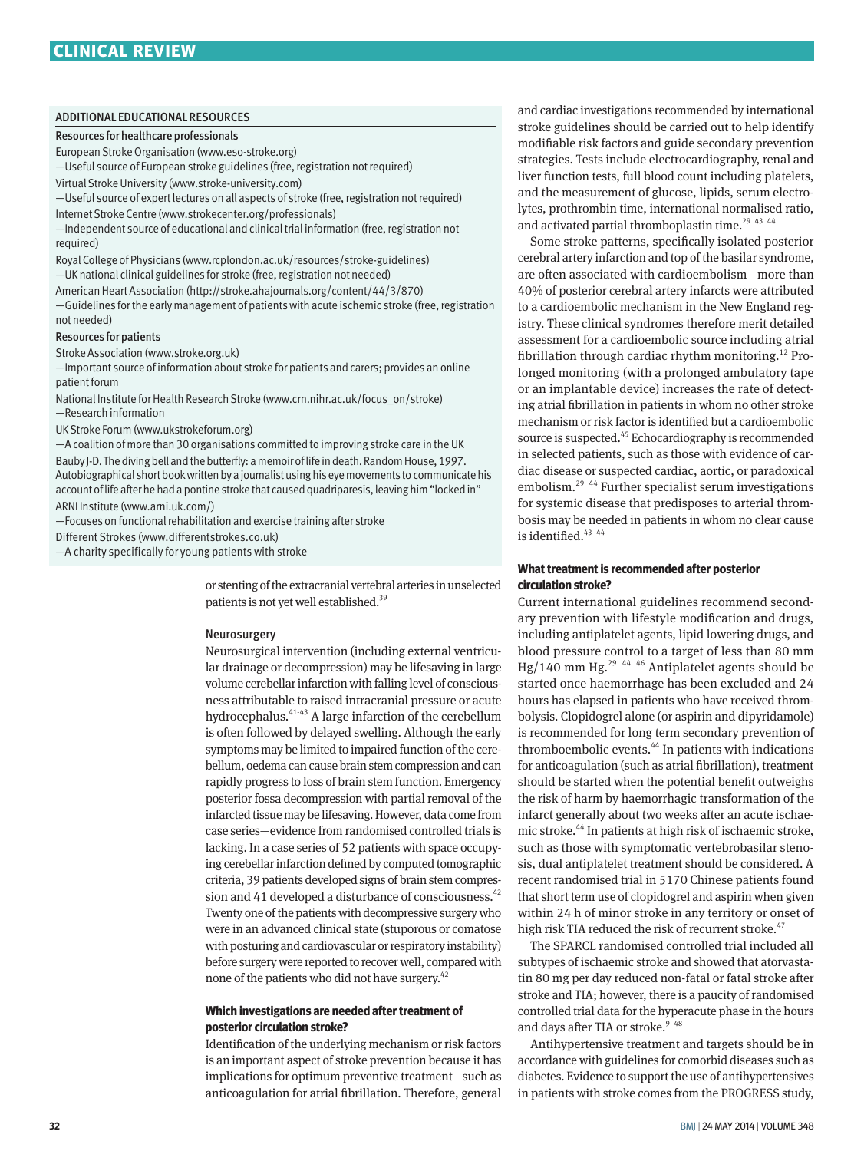# **CLINICAL REVIEW**

## ADDITIONAL EDUCATIONAL RESOURCES

Resources for healthcare professionals

European Stroke Organisation (www.eso-stroke.org)

—Useful source of European stroke guidelines (free, registration not required) Virtual Stroke University (www.stroke-university.com)

—Useful source of expert lectures on all aspects of stroke (free, registration not required)

Internet Stroke Centre (www.strokecenter.org/professionals)

—Independent source of educational and clinical trial information (free, registration not required)

Royal College of Physicians (www.rcplondon.ac.uk/resources/stroke-guidelines) —UK national clinical guidelines for stroke (free, registration not needed)

American Heart Association (http://stroke.ahajournals.org/content/44/3/870) —Guidelines for the early management of patients with acute ischemic stroke (free, registration not needed)

#### Resources for patients

Stroke Association (www.stroke.org.uk)

—Important source of information about stroke for patients and carers; provides an online patient forum

National Institute for Health Research Stroke (www.crn.nihr.ac.uk/focus\_on/stroke) —Research information

UK Stroke Forum (www.ukstrokeforum.org)

—A coalition of more than 30 organisations committed to improving stroke care in the UK Bauby J-D. The diving bell and the butterfly: a memoir of life in death. Random House, 1997. Autobiographical short book written by a journalist using his eye movements to communicate his account of life after he had a pontine stroke that caused quadriparesis, leaving him "locked in" ARNI Institute (www.arni.uk.com/)

—Focuses on functional rehabilitation and exercise training after stroke

Different Strokes (www.differentstrokes.co.uk)

—A charity specifically for young patients with stroke

or stenting of the extracranial vertebral arteries in unselected patients is not yet well established.39

#### Neurosurgery

Neurosurgical intervention (including external ventricular drainage or decompression) may be lifesaving in large volume cerebellar infarction with falling level of consciousness attributable to raised intracranial pressure or acute hydrocephalus.<sup>41-43</sup> A large infarction of the cerebellum is often followed by delayed swelling. Although the early symptoms may be limited to impaired function of the cerebellum, oedema can cause brain stem compression and can rapidly progress to loss of brain stem function. Emergency posterior fossa decompression with partial removal of the infarcted tissue may be lifesaving. However, data come from case series—evidence from randomised controlled trials is lacking. In a case series of 52 patients with space occupying cerebellar infarction defined by computed tomographic criteria, 39 patients developed signs of brain stem compression and 41 developed a disturbance of consciousness.<sup>42</sup> Twenty one of the patients with decompressive surgery who were in an advanced clinical state (stuporous or comatose with posturing and cardiovascular or respiratory instability) before surgery were reported to recover well, compared with none of the patients who did not have surgery.<sup>42</sup>

# **Which investigations are needed after treatment of posterior circulation stroke?**

Identification of the underlying mechanism or risk factors is an important aspect of stroke prevention because it has implications for optimum preventive treatment—such as anticoagulation for atrial fibrillation. Therefore, general

and cardiac investigations recommended by international stroke guidelines should be carried out to help identify modifiable risk factors and guide secondary prevention strategies. Tests include electrocardiography, renal and liver function tests, full blood count including platelets, and the measurement of glucose, lipids, serum electrolytes, prothrombin time, international normalised ratio, and activated partial thromboplastin time.<sup>29 43</sup>  $44$ 

Some stroke patterns, specifically isolated posterior cerebral artery infarction and top of the basilar syndrome, are often associated with cardioembolism—more than 40% of posterior cerebral artery infarcts were attributed to a cardioembolic mechanism in the New England registry. These clinical syndromes therefore merit detailed assessment for a cardioembolic source including atrial fibrillation through cardiac rhythm monitoring.<sup>12</sup> Prolonged monitoring (with a prolonged ambulatory tape or an implantable device) increases the rate of detecting atrial fibrillation in patients in whom no other stroke mechanism or risk factor is identified but a cardioembolic source is suspected.<sup>45</sup> Echocardiography is recommended in selected patients, such as those with evidence of cardiac disease or suspected cardiac, aortic, or paradoxical embolism.<sup>29</sup> <sup>44</sup> Further specialist serum investigations for systemic disease that predisposes to arterial thrombosis may be needed in patients in whom no clear cause is identified. $4344$ 

# **What treatment is recommended after posterior circulation stroke?**

Current international guidelines recommend secondary prevention with lifestyle modification and drugs, including antiplatelet agents, lipid lowering drugs, and blood pressure control to a target of less than 80 mm Hg/140 mm Hg.<sup>29</sup> <sup>44</sup> <sup>46</sup> Antiplatelet agents should be started once haemorrhage has been excluded and 24 hours has elapsed in patients who have received thrombolysis. Clopidogrel alone (or aspirin and dipyridamole) is recommended for long term secondary prevention of thromboembolic events.44 In patients with indications for anticoagulation (such as atrial fibrillation), treatment should be started when the potential benefit outweighs the risk of harm by haemorrhagic transformation of the infarct generally about two weeks after an acute ischaemic stroke.<sup>44</sup> In patients at high risk of ischaemic stroke, such as those with symptomatic vertebrobasilar stenosis, dual antiplatelet treatment should be considered. A recent randomised trial in 5170 Chinese patients found that short term use of clopidogrel and aspirin when given within 24 h of minor stroke in any territory or onset of high risk TIA reduced the risk of recurrent stroke.<sup>47</sup>

The SPARCL randomised controlled trial included all subtypes of ischaemic stroke and showed that atorvastatin 80 mg per day reduced non-fatal or fatal stroke after stroke and TIA; however, there is a paucity of randomised controlled trial data for the hyperacute phase in the hours and days after TIA or stroke.<sup>948</sup>

Antihypertensive treatment and targets should be in accordance with guidelines for comorbid diseases such as diabetes. Evidence to support the use of antihypertensives in patients with stroke comes from the PROGRESS study,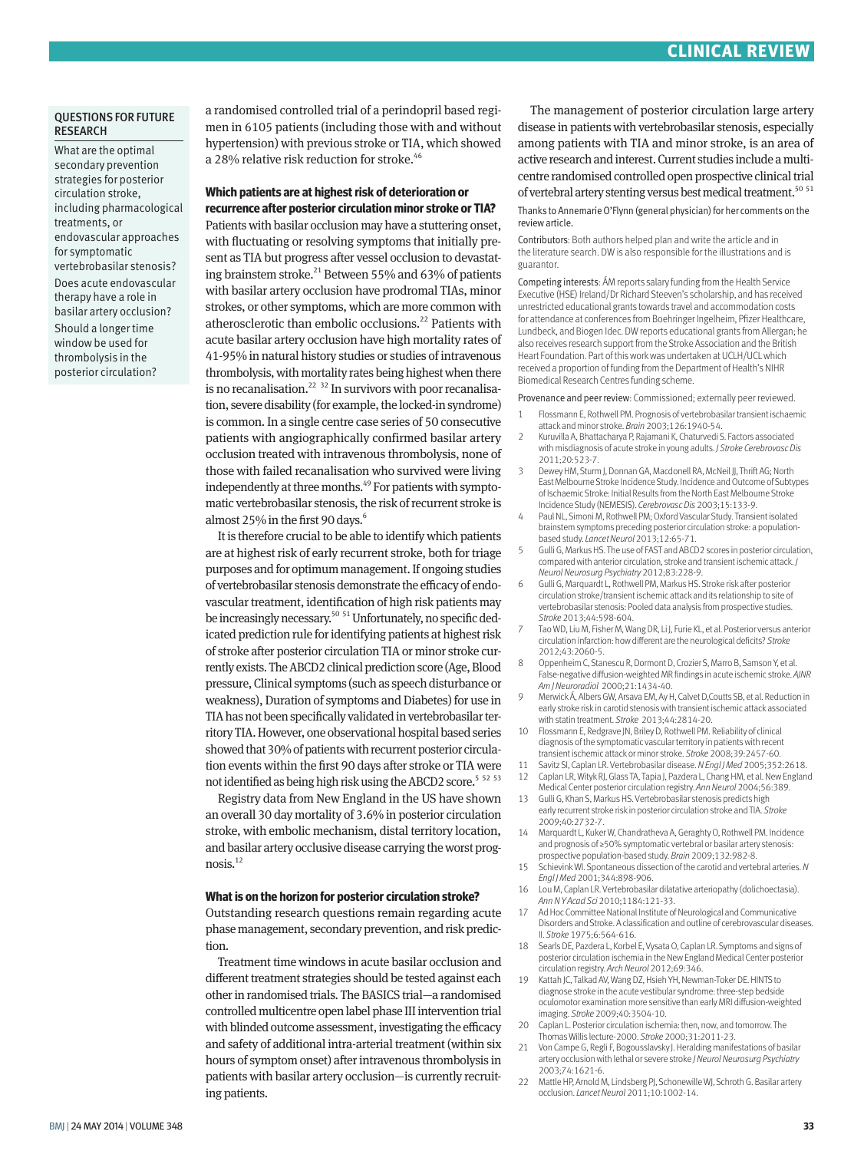# **CLINICAL REVIEW**

## QUESTIONS FOR FUTURE RESEARCH

What are the optimal secondary prevention strategies for posterior circulation stroke, including pharmacological treatments, or endovascular approaches for symptomatic vertebrobasilar stenosis? Does acute endovascular therapy have a role in basilar artery occlusion? Should a longer time window be used for thrombolysis in the posterior circulation?

a randomised controlled trial of a perindopril based regimen in 6105 patients (including those with and without hypertension) with previous stroke or TIA, which showed a 28% relative risk reduction for stroke.<sup>46</sup>

## **Which patients are at highest risk of deterioration or recurrence after posterior circulation minor stroke or TIA?**

Patients with basilar occlusion may have a stuttering onset, with fluctuating or resolving symptoms that initially present as TIA but progress after vessel occlusion to devastating brainstem stroke.<sup>21</sup> Between 55% and 63% of patients with basilar artery occlusion have prodromal TIAs, minor strokes, or other symptoms, which are more common with atherosclerotic than embolic occlusions.<sup>22</sup> Patients with acute basilar artery occlusion have high mortality rates of 41-95% in natural history studies or studies of intravenous thrombolysis, with mortality rates being highest when there is no recanalisation.<sup>22</sup>  $32$  In survivors with poor recanalisation, severe disability (for example, the locked-in syndrome) is common. In a single centre case series of 50 consecutive patients with angiographically confirmed basilar artery occlusion treated with intravenous thrombolysis, none of those with failed recanalisation who survived were living independently at three months.<sup>49</sup> For patients with symptomatic vertebrobasilar stenosis, the risk of recurrent stroke is almost 25% in the first 90 days.<sup>6</sup>

It is therefore crucial to be able to identify which patients are at highest risk of early recurrent stroke, both for triage purposes and for optimum management. If ongoing studies of vertebrobasilar stenosis demonstrate the efficacy of endovascular treatment, identification of high risk patients may be increasingly necessary.<sup>50 51</sup> Unfortunately, no specific dedicated prediction rule for identifying patients at highest risk of stroke after posterior circulation TIA or minor stroke currently exists. The ABCD2 clinical prediction score (Age, Blood pressure, Clinical symptoms (such as speech disturbance or weakness), Duration of symptoms and Diabetes) for use in TIA has not been specifically validated in vertebrobasilar territory TIA. However, one observational hospital based series showed that 30% of patients with recurrent posterior circulation events within the first 90 days after stroke or TIA were not identified as being high risk using the ABCD2 score.<sup>5 52 53</sup>

Registry data from New England in the US have shown an overall 30 day mortality of 3.6% in posterior circulation stroke, with embolic mechanism, distal territory location, and basilar artery occlusive disease carrying the worst prognosis.12

#### **What is on the horizon for posterior circulation stroke?**

Outstanding research questions remain regarding acute phase management, secondary prevention, and risk prediction.

Treatment time windows in acute basilar occlusion and different treatment strategies should be tested against each other in randomised trials. The BASICS trial—a randomised controlled multicentre open label phase III intervention trial with blinded outcome assessment, investigating the efficacy and safety of additional intra-arterial treatment (within six hours of symptom onset) after intravenous thrombolysis in patients with basilar artery occlusion-is currently recruiting patients.

The management of posterior circulation large artery disease in patients with vertebrobasilar stenosis, especially among patients with TIA and minor stroke, is an area of active research and interest. Current studies include a multicentre randomised controlled open prospective clinical trial of vertebral artery stenting versus best medical treatment.<sup>50</sup><sup>51</sup>

Thanks to Annemarie O'Flynn (general physician) for her comments on the review article.

Contributors: Both authors helped plan and write the article and in the literature search. DW is also responsible for the illustrations and is guarantor.

Competing interests: ÁM reports salary funding from the Health Service Executive (HSE) Ireland/Dr Richard Steeven's scholarship, and has received unrestricted educational grants towards travel and accommodation costs for attendance at conferences from Boehringer Ingelheim, Pfizer Healthcare, Lundbeck, and Biogen Idec. DW reports educational grants from Allergan; he also receives research support from the Stroke Association and the British Heart Foundation. Part of this work was undertaken at UCLH/UCL which received a proportion of funding from the Department of Health's NIHR Biomedical Research Centres funding scheme.

Provenance and peer review: Commissioned; externally peer reviewed.

- 1 Flossmann E, Rothwell PM. Prognosis of vertebrobasilar transient ischaemic attack and minor stroke. *Brain* 2003;126:1940-54.
- 2 Kuruvilla A, Bhattacharya P, Rajamani K, Chaturvedi S. Factors associated with misdiagnosis of acute stroke in young adults. *J Stroke Cerebrovasc Dis* 2011;20:523-7.
- 3 Dewey HM, Sturm J, Donnan GA, Macdonell RA, McNeil JJ, Thrift AG; North East Melbourne Stroke Incidence Study. Incidence and Outcome of Subtypes of Ischaemic Stroke: Initial Results from the North East Melbourne Stroke Incidence Study (NEMESIS). *Cerebrovasc Dis* 2003;15:133-9.
- 4 Paul NL, Simoni M, Rothwell PM; Oxford Vascular Study. Transient isolated brainstem symptoms preceding posterior circulation stroke: a populationbased study. *Lancet Neurol* 2013;12:65-71.
- 5 Gulli G, Markus HS. The use of FAST and ABCD2 scores in posterior circulation, compared with anterior circulation, stroke and transient ischemic attack. *J Neurol Neurosurg Psychiatry* 2012;83:228-9.
- 6 Gulli G, Marquardt L, Rothwell PM, Markus HS. Stroke risk after posterior circulation stroke/transient ischemic attack and its relationship to site of vertebrobasilar stenosis: Pooled data analysis from prospective studies. *Stroke* 2013;44:598-604.
- 7 Tao WD, Liu M, Fisher M, Wang DR, Li J, Furie KL, et al. Posterior versus anterior circulation infarction: how different are the neurological deficits? *Stroke* 2012;43:2060-5.
- 8 Oppenheim C, Stanescu R, Dormont D, Crozier S, Marro B, Samson Y, et al. False-negative diffusion-weighted MR findings in acute ischemic stroke. *AJNR Am J Neuroradiol* 2000;21:1434-40.
- Merwick Á, Albers GW, Arsava EM, Ay H, Calvet D, Coutts SB, et al. Reduction in early stroke risk in carotid stenosis with transient ischemic attack associated with statin treatment. *Stroke* 2013;44:2814-20.
- 10 Flossmann E, Redgrave JN, Briley D, Rothwell PM. Reliability of clinical diagnosis of the symptomatic vascular territory in patients with recent transient ischemic attack or minor stroke. *Stroke* 2008;39:2457-60.
- 11 Savitz SI, Caplan LR. Vertebrobasilar disease. *N Engl J Med* 2005;352:2618. 12 Caplan LR, Wityk RJ, Glass TA, Tapia J, Pazdera L, Chang HM, et al. New England
- Medical Center posterior circulation registry. *Ann Neurol* 2004;56:389. 13 Gulli G, Khan S, Markus HS. Vertebrobasilar stenosis predicts high early recurrent stroke risk in posterior circulation stroke and TIA. *Stroke* 2009;40:2732-7.
- 14 Marquardt L, Kuker W, Chandratheva A, Geraghty O, Rothwell PM. Incidence and prognosis of ≥50% symptomatic vertebral or basilar artery stenosis: prospective population-based study. *Brain* 2009;132:982-8.
- 15 Schievink Wl. Spontaneous dissection of the carotid and vertebral arteries. *N Engl J Med* 2001;344:898-906.
- 16 Lou M, Caplan LR. Vertebrobasilar dilatative arteriopathy (dolichoectasia). *Ann N Y Acad Sci* 2010;1184:121-33.
- 17 Ad Hoc Committee National Institute of Neurological and Communicative Disorders and Stroke. A classification and outline of cerebrovascular diseases. II. *Stroke* 1975;6:564-616.
- 18 Searls DE, Pazdera L, Korbel E, Vysata O, Caplan LR. Symptoms and signs of posterior circulation ischemia in the New England Medical Center posterior circulation registry. *Arch Neurol* 2012;69:346.
- 19 Kattah JC, Talkad AV, Wang DZ, Hsieh YH, Newman-Toker DE. HINTS to diagnose stroke in the acute vestibular syndrome: three-step bedside oculomotor examination more sensitive than early MRI diffusion-weighted imaging. *Stroke* 2009;40:3504-10.
- 20 Caplan L. Posterior circulation ischemia: then, now, and tomorrow. The Thomas Willis lecture-2000. *Stroke* 2000;31:2011-23.
- 21 Von Campe G, Regli F, Bogousslavsky J. Heralding manifestations of basilar artery occlusion with lethal or severe stroke *J Neurol Neurosurg Psychiatry* 2003;74:1621-6.
- 22 Mattle HP, Arnold M, Lindsberg PJ, Schonewille WJ, Schroth G. Basilar artery occlusion. *Lancet Neurol* 2011;10:1002-14.